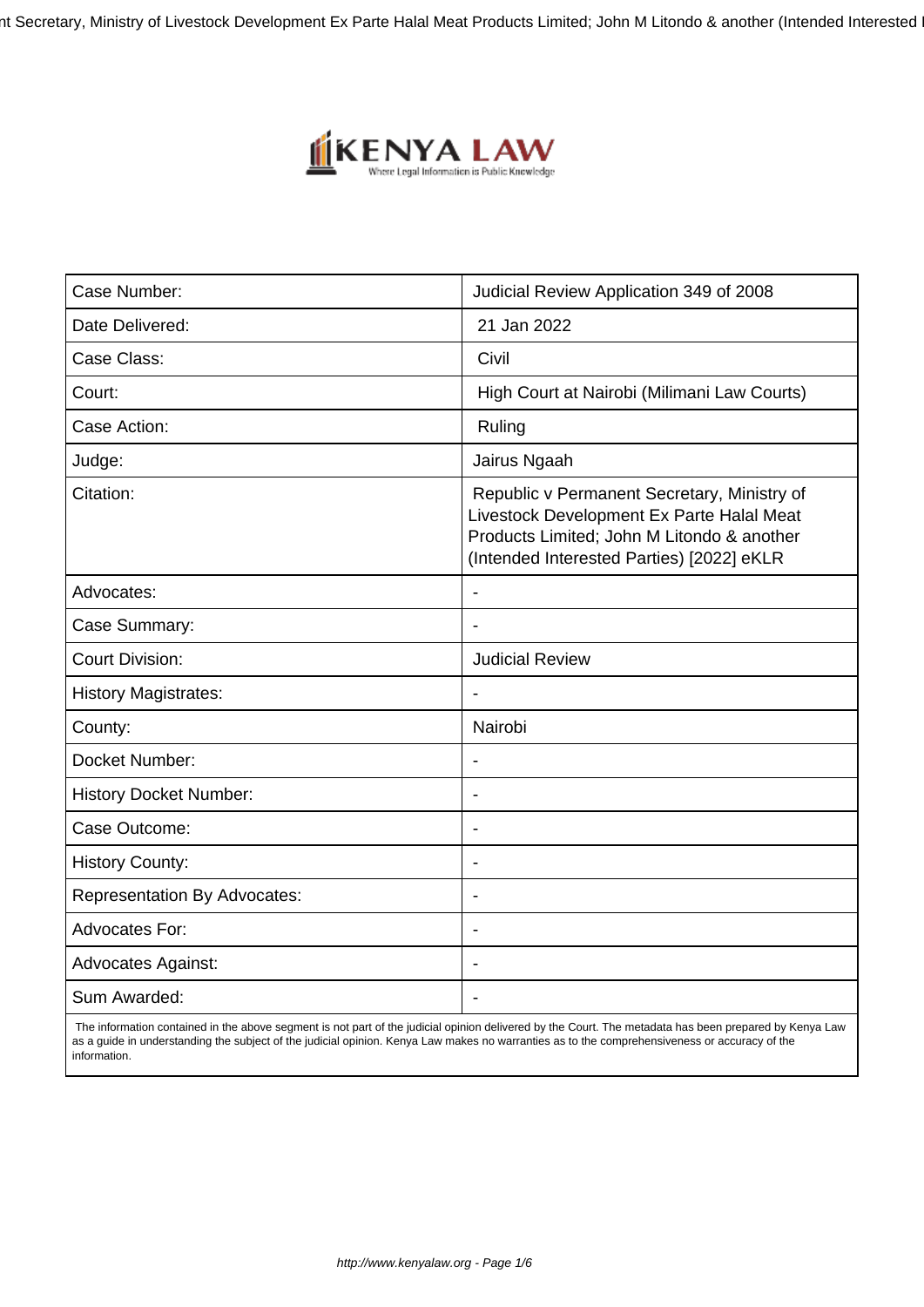nt Secretary, Ministry of Livestock Development Ex Parte Halal Meat Products Limited; John M Litondo & another (Intended Interested



| Case Number:                        | Judicial Review Application 349 of 2008                                                                                                                                             |
|-------------------------------------|-------------------------------------------------------------------------------------------------------------------------------------------------------------------------------------|
| Date Delivered:                     | 21 Jan 2022                                                                                                                                                                         |
| Case Class:                         | Civil                                                                                                                                                                               |
| Court:                              | High Court at Nairobi (Milimani Law Courts)                                                                                                                                         |
| Case Action:                        | Ruling                                                                                                                                                                              |
| Judge:                              | Jairus Ngaah                                                                                                                                                                        |
| Citation:                           | Republic v Permanent Secretary, Ministry of<br>Livestock Development Ex Parte Halal Meat<br>Products Limited; John M Litondo & another<br>(Intended Interested Parties) [2022] eKLR |
| Advocates:                          | $\overline{\phantom{a}}$                                                                                                                                                            |
| Case Summary:                       |                                                                                                                                                                                     |
| <b>Court Division:</b>              | <b>Judicial Review</b>                                                                                                                                                              |
| <b>History Magistrates:</b>         | $\blacksquare$                                                                                                                                                                      |
| County:                             | Nairobi                                                                                                                                                                             |
| Docket Number:                      |                                                                                                                                                                                     |
| <b>History Docket Number:</b>       |                                                                                                                                                                                     |
| Case Outcome:                       |                                                                                                                                                                                     |
| <b>History County:</b>              | $\overline{\phantom{a}}$                                                                                                                                                            |
| <b>Representation By Advocates:</b> | $\overline{\phantom{a}}$                                                                                                                                                            |
| <b>Advocates For:</b>               | $\overline{\phantom{a}}$                                                                                                                                                            |
| <b>Advocates Against:</b>           |                                                                                                                                                                                     |
| Sum Awarded:                        |                                                                                                                                                                                     |

 The information contained in the above segment is not part of the judicial opinion delivered by the Court. The metadata has been prepared by Kenya Law as a guide in understanding the subject of the judicial opinion. Kenya Law makes no warranties as to the comprehensiveness or accuracy of the information.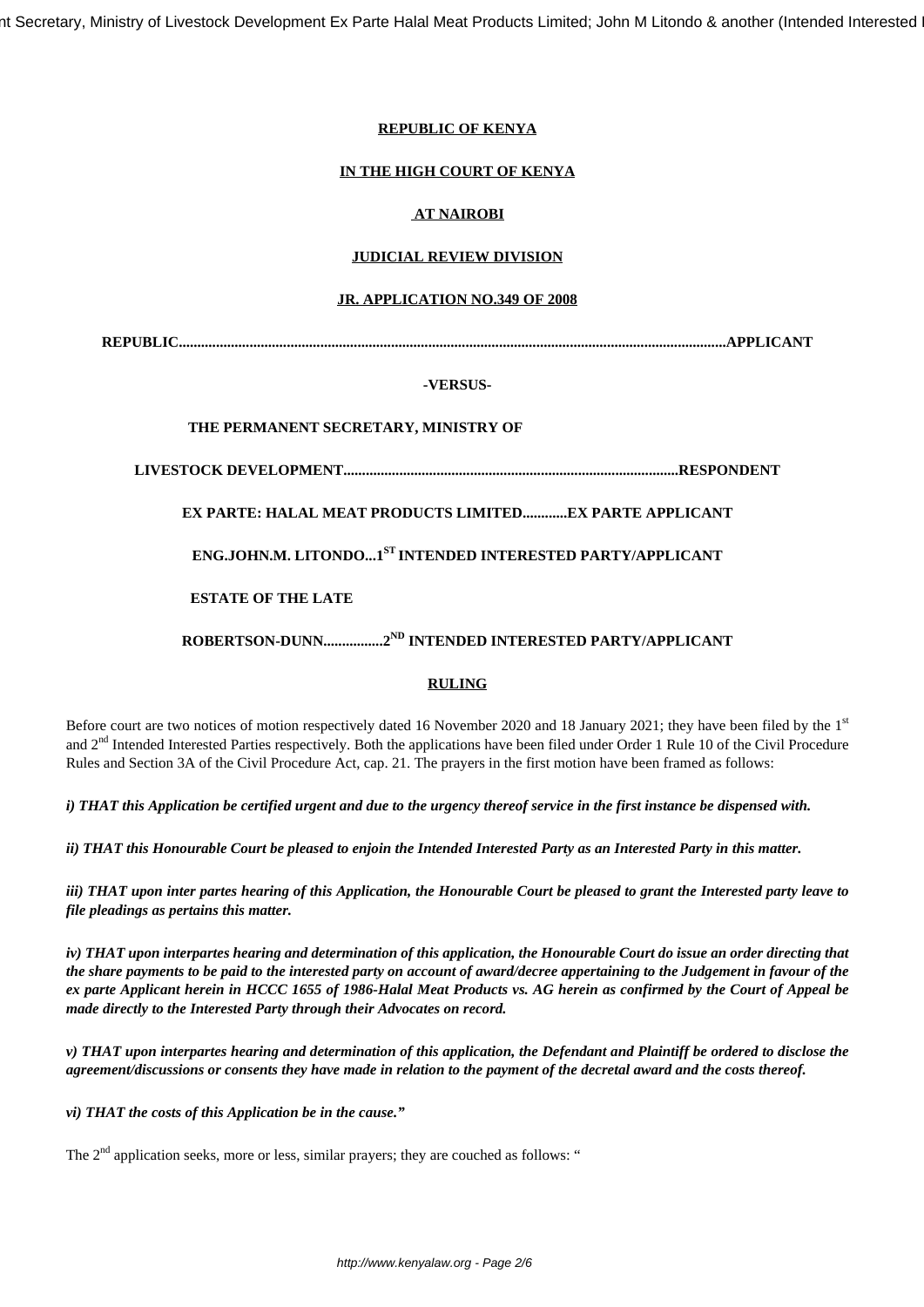nt Secretary, Ministry of Livestock Development Ex Parte Halal Meat Products Limited; John M Litondo & another (Intended Interested

## **REPUBLIC OF KENYA**

## **IN THE HIGH COURT OF KENYA**

# **AT NAIROBI**

## **JUDICIAL REVIEW DIVISION**

### **JR. APPLICATION NO.349 OF 2008**

**REPUBLIC...................................................................................................................................................APPLICANT**

### **-VERSUS-**

## **THE PERMANENT SECRETARY, MINISTRY OF**

**LIVESTOCK DEVELOPMENT..........................................................................................RESPONDENT**

**EX PARTE: HALAL MEAT PRODUCTS LIMITED............EX PARTE APPLICANT**

**ENG.JOHN.M. LITONDO...1ST INTENDED INTERESTED PARTY/APPLICANT**

**ESTATE OF THE LATE**

**ROBERTSON-DUNN................2ND INTENDED INTERESTED PARTY/APPLICANT**

### **RULING**

Before court are two notices of motion respectively dated 16 November 2020 and 18 January 2021; they have been filed by the 1st and 2<sup>nd</sup> Intended Interested Parties respectively. Both the applications have been filed under Order 1 Rule 10 of the Civil Procedure Rules and Section 3A of the Civil Procedure Act, cap. 21. The prayers in the first motion have been framed as follows:

*i) THAT this Application be certified urgent and due to the urgency thereof service in the first instance be dispensed with.*

*ii) THAT this Honourable Court be pleased to enjoin the Intended Interested Party as an Interested Party in this matter.*

*iii) THAT upon inter partes hearing of this Application, the Honourable Court be pleased to grant the Interested party leave to file pleadings as pertains this matter.*

*iv) THAT upon interpartes hearing and determination of this application, the Honourable Court do issue an order directing that the share payments to be paid to the interested party on account of award/decree appertaining to the Judgement in favour of the ex parte Applicant herein in HCCC 1655 of 1986-Halal Meat Products vs. AG herein as confirmed by the Court of Appeal be made directly to the Interested Party through their Advocates on record.*

*v) THAT upon interpartes hearing and determination of this application, the Defendant and Plaintiff be ordered to disclose the agreement/discussions or consents they have made in relation to the payment of the decretal award and the costs thereof.*

*vi) THAT the costs of this Application be in the cause."*

The  $2<sup>nd</sup>$  application seeks, more or less, similar prayers; they are couched as follows: "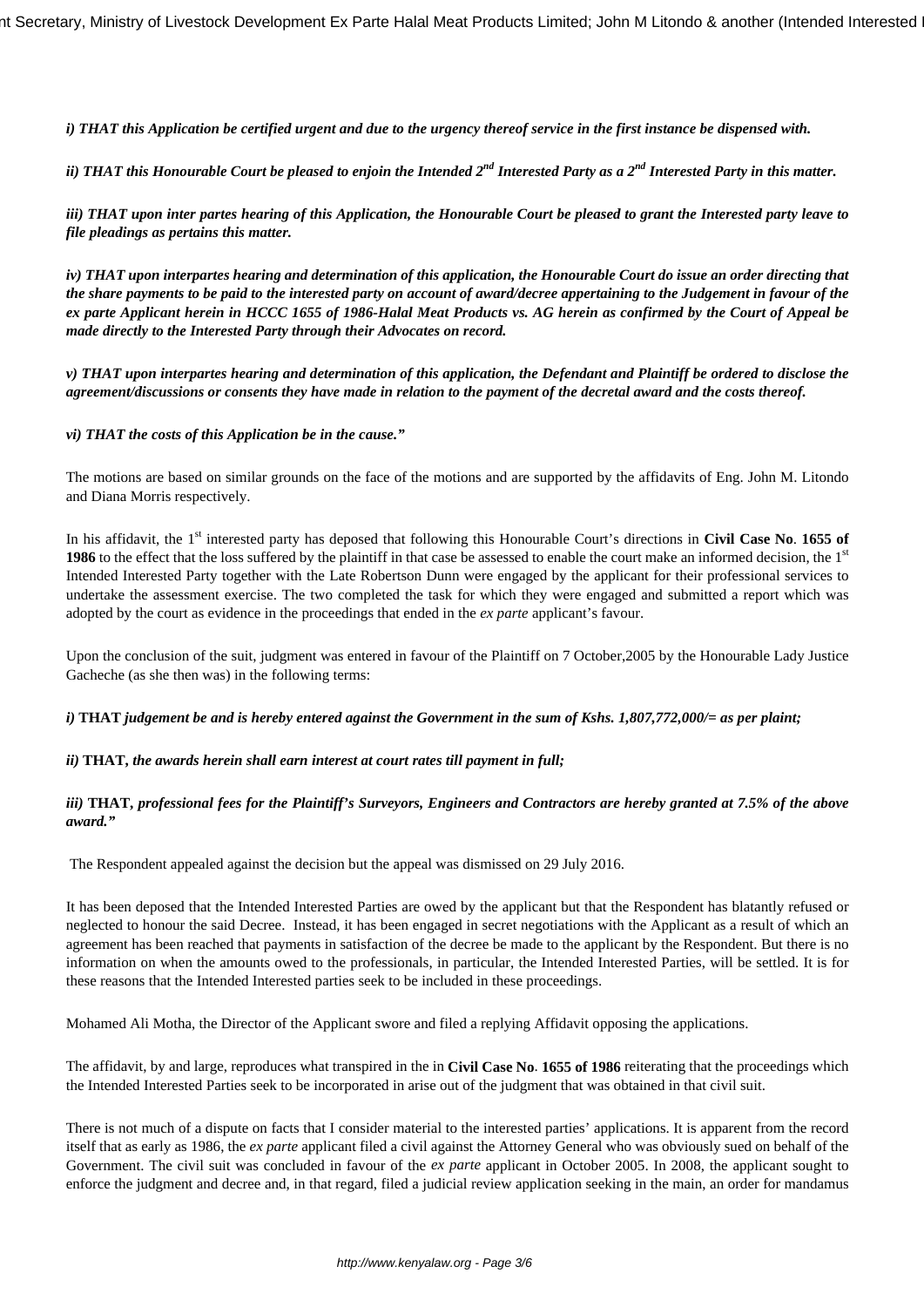*i) THAT this Application be certified urgent and due to the urgency thereof service in the first instance be dispensed with.*

*ii) THAT this Honourable Court be pleased to enjoin the Intended 2nd Interested Party as a 2nd Interested Party in this matter.*

*iii) THAT upon inter partes hearing of this Application, the Honourable Court be pleased to grant the Interested party leave to file pleadings as pertains this matter.*

*iv) THAT upon interpartes hearing and determination of this application, the Honourable Court do issue an order directing that the share payments to be paid to the interested party on account of award/decree appertaining to the Judgement in favour of the ex parte Applicant herein in HCCC 1655 of 1986-Halal Meat Products vs. AG herein as confirmed by the Court of Appeal be made directly to the Interested Party through their Advocates on record.*

*v) THAT upon interpartes hearing and determination of this application, the Defendant and Plaintiff be ordered to disclose the agreement/discussions or consents they have made in relation to the payment of the decretal award and the costs thereof.*

*vi) THAT the costs of this Application be in the cause."*

The motions are based on similar grounds on the face of the motions and are supported by the affidavits of Eng. John M. Litondo and Diana Morris respectively.

In his affidavit, the 1<sup>st</sup> interested party has deposed that following this Honourable Court's directions in **Civil Case No. 1655 of 1986** to the effect that the loss suffered by the plaintiff in that case be assessed to enable the court make an informed decision, the 1<sup>st</sup> Intended Interested Party together with the Late Robertson Dunn were engaged by the applicant for their professional services to undertake the assessment exercise. The two completed the task for which they were engaged and submitted a report which was adopted by the court as evidence in the proceedings that ended in the *ex parte* applicant's favour.

Upon the conclusion of the suit, judgment was entered in favour of the Plaintiff on 7 October,2005 by the Honourable Lady Justice Gacheche (as she then was) in the following terms:

*i)* **THAT** *judgement be and is hereby entered against the Government in the sum of Kshs. 1,807,772,000/= as per plaint;*

### *ii)* **THAT,** *the awards herein shall earn interest at court rates till payment in full;*

### *iii)* **THAT,** *professional fees for the Plaintiff's Surveyors, Engineers and Contractors are hereby granted at 7.5% of the above award."*

The Respondent appealed against the decision but the appeal was dismissed on 29 July 2016.

It has been deposed that the Intended Interested Parties are owed by the applicant but that the Respondent has blatantly refused or neglected to honour the said Decree. Instead, it has been engaged in secret negotiations with the Applicant as a result of which an agreement has been reached that payments in satisfaction of the decree be made to the applicant by the Respondent. But there is no information on when the amounts owed to the professionals, in particular, the Intended Interested Parties, will be settled. It is for these reasons that the Intended Interested parties seek to be included in these proceedings.

Mohamed Ali Motha, the Director of the Applicant swore and filed a replying Affidavit opposing the applications.

The affidavit, by and large, reproduces what transpired in the in **Civil Case No**. **1655 of 1986** reiterating that the proceedings which the Intended Interested Parties seek to be incorporated in arise out of the judgment that was obtained in that civil suit.

There is not much of a dispute on facts that I consider material to the interested parties' applications. It is apparent from the record itself that as early as 1986, the *ex parte* applicant filed a civil against the Attorney General who was obviously sued on behalf of the Government. The civil suit was concluded in favour of the *ex parte* applicant in October 2005. In 2008, the applicant sought to enforce the judgment and decree and, in that regard, filed a judicial review application seeking in the main, an order for mandamus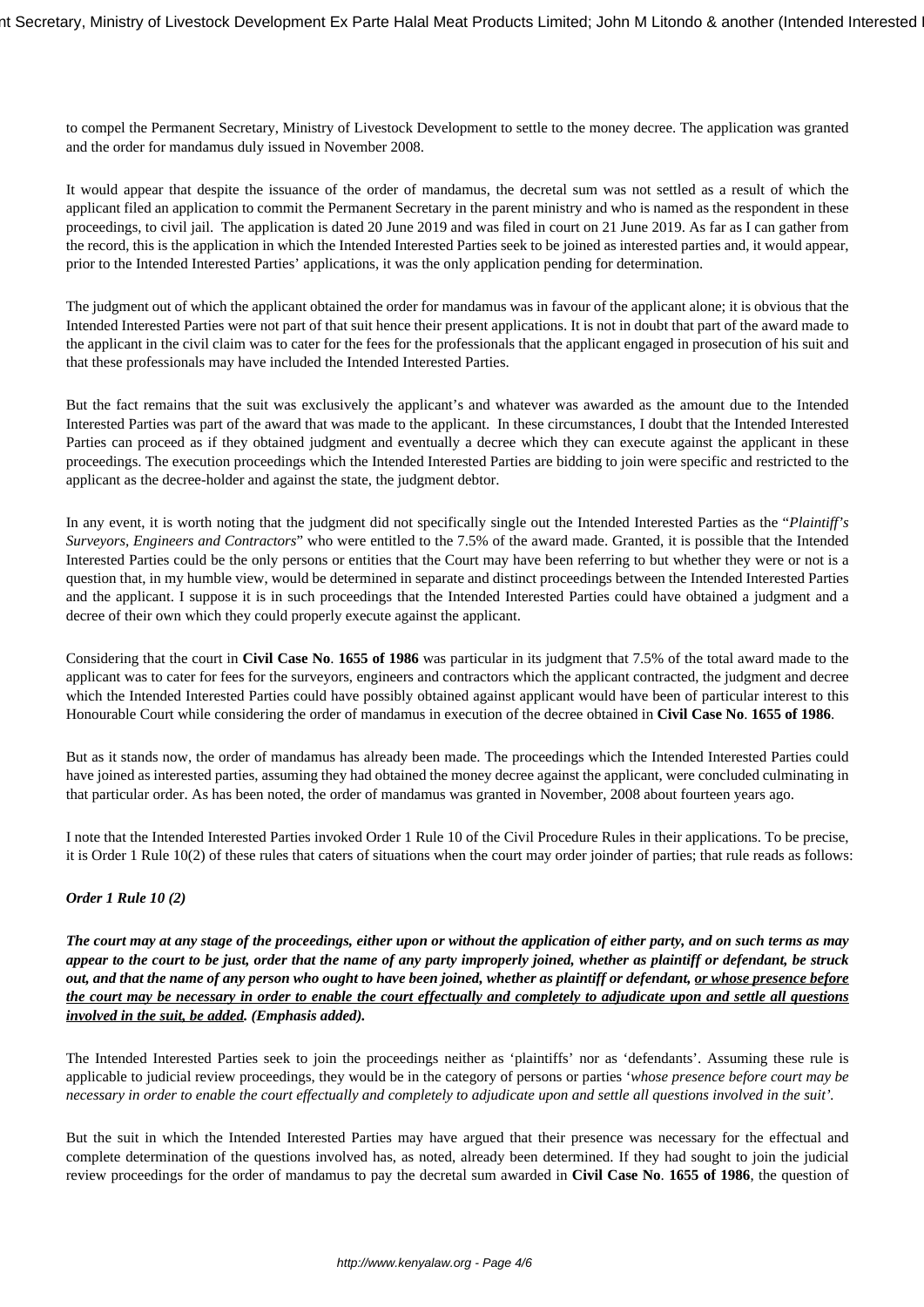to compel the Permanent Secretary, Ministry of Livestock Development to settle to the money decree. The application was granted and the order for mandamus duly issued in November 2008.

It would appear that despite the issuance of the order of mandamus, the decretal sum was not settled as a result of which the applicant filed an application to commit the Permanent Secretary in the parent ministry and who is named as the respondent in these proceedings, to civil jail. The application is dated 20 June 2019 and was filed in court on 21 June 2019. As far as I can gather from the record, this is the application in which the Intended Interested Parties seek to be joined as interested parties and, it would appear, prior to the Intended Interested Parties' applications, it was the only application pending for determination.

The judgment out of which the applicant obtained the order for mandamus was in favour of the applicant alone; it is obvious that the Intended Interested Parties were not part of that suit hence their present applications. It is not in doubt that part of the award made to the applicant in the civil claim was to cater for the fees for the professionals that the applicant engaged in prosecution of his suit and that these professionals may have included the Intended Interested Parties.

But the fact remains that the suit was exclusively the applicant's and whatever was awarded as the amount due to the Intended Interested Parties was part of the award that was made to the applicant. In these circumstances, I doubt that the Intended Interested Parties can proceed as if they obtained judgment and eventually a decree which they can execute against the applicant in these proceedings. The execution proceedings which the Intended Interested Parties are bidding to join were specific and restricted to the applicant as the decree-holder and against the state, the judgment debtor.

In any event, it is worth noting that the judgment did not specifically single out the Intended Interested Parties as the "*Plaintiff's Surveyors, Engineers and Contractors*" who were entitled to the 7.5% of the award made. Granted, it is possible that the Intended Interested Parties could be the only persons or entities that the Court may have been referring to but whether they were or not is a question that, in my humble view, would be determined in separate and distinct proceedings between the Intended Interested Parties and the applicant. I suppose it is in such proceedings that the Intended Interested Parties could have obtained a judgment and a decree of their own which they could properly execute against the applicant.

Considering that the court in **Civil Case No**. **1655 of 1986** was particular in its judgment that 7.5% of the total award made to the applicant was to cater for fees for the surveyors, engineers and contractors which the applicant contracted, the judgment and decree which the Intended Interested Parties could have possibly obtained against applicant would have been of particular interest to this Honourable Court while considering the order of mandamus in execution of the decree obtained in **Civil Case No**. **1655 of 1986**.

But as it stands now, the order of mandamus has already been made. The proceedings which the Intended Interested Parties could have joined as interested parties, assuming they had obtained the money decree against the applicant, were concluded culminating in that particular order. As has been noted, the order of mandamus was granted in November, 2008 about fourteen years ago.

I note that the Intended Interested Parties invoked Order 1 Rule 10 of the Civil Procedure Rules in their applications. To be precise, it is Order 1 Rule 10(2) of these rules that caters of situations when the court may order joinder of parties; that rule reads as follows:

# *Order 1 Rule 10 (2)*

*The court may at any stage of the proceedings, either upon or without the application of either party, and on such terms as may appear to the court to be just, order that the name of any party improperly joined, whether as plaintiff or defendant, be struck out, and that the name of any person who ought to have been joined, whether as plaintiff or defendant, or whose presence before the court may be necessary in order to enable the court effectually and completely to adjudicate upon and settle all questions involved in the suit, be added. (Emphasis added).* 

The Intended Interested Parties seek to join the proceedings neither as 'plaintiffs' nor as 'defendants'. Assuming these rule is applicable to judicial review proceedings, they would be in the category of persons or parties '*whose presence before court may be necessary in order to enable the court effectually and completely to adjudicate upon and settle all questions involved in the suit'.* 

But the suit in which the Intended Interested Parties may have argued that their presence was necessary for the effectual and complete determination of the questions involved has, as noted, already been determined. If they had sought to join the judicial review proceedings for the order of mandamus to pay the decretal sum awarded in **Civil Case No**. **1655 of 1986**, the question of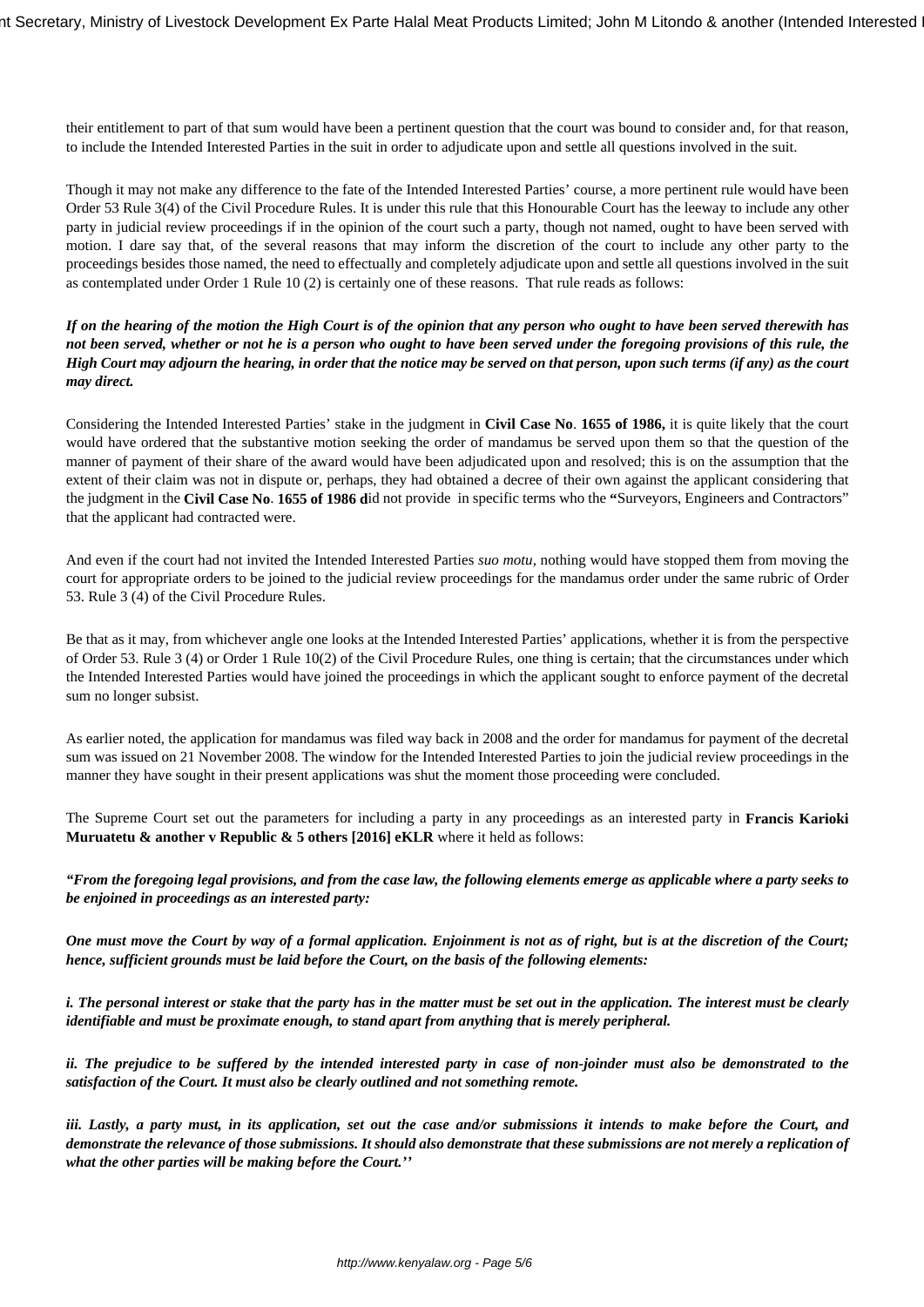their entitlement to part of that sum would have been a pertinent question that the court was bound to consider and, for that reason, to include the Intended Interested Parties in the suit in order to adjudicate upon and settle all questions involved in the suit.

Though it may not make any difference to the fate of the Intended Interested Parties' course, a more pertinent rule would have been Order 53 Rule 3(4) of the Civil Procedure Rules. It is under this rule that this Honourable Court has the leeway to include any other party in judicial review proceedings if in the opinion of the court such a party, though not named, ought to have been served with motion. I dare say that, of the several reasons that may inform the discretion of the court to include any other party to the proceedings besides those named, the need to effectually and completely adjudicate upon and settle all questions involved in the suit as contemplated under Order 1 Rule 10 (2) is certainly one of these reasons. That rule reads as follows:

*If on the hearing of the motion the High Court is of the opinion that any person who ought to have been served therewith has not been served, whether or not he is a person who ought to have been served under the foregoing provisions of this rule, the High Court may adjourn the hearing, in order that the notice may be served on that person, upon such terms (if any) as the court may direct.*

Considering the Intended Interested Parties' stake in the judgment in **Civil Case No**. **1655 of 1986,** it is quite likely that the court would have ordered that the substantive motion seeking the order of mandamus be served upon them so that the question of the manner of payment of their share of the award would have been adjudicated upon and resolved; this is on the assumption that the extent of their claim was not in dispute or, perhaps, they had obtained a decree of their own against the applicant considering that the judgment in the **Civil Case No**. **1655 of 1986 d**id not provide in specific terms who the **"**Surveyors, Engineers and Contractors" that the applicant had contracted were.

And even if the court had not invited the Intended Interested Parties *suo motu,* nothing would have stopped them from moving the court for appropriate orders to be joined to the judicial review proceedings for the mandamus order under the same rubric of Order 53. Rule 3 (4) of the Civil Procedure Rules.

Be that as it may, from whichever angle one looks at the Intended Interested Parties' applications, whether it is from the perspective of Order 53. Rule 3 (4) or Order 1 Rule 10(2) of the Civil Procedure Rules, one thing is certain; that the circumstances under which the Intended Interested Parties would have joined the proceedings in which the applicant sought to enforce payment of the decretal sum no longer subsist.

As earlier noted, the application for mandamus was filed way back in 2008 and the order for mandamus for payment of the decretal sum was issued on 21 November 2008. The window for the Intended Interested Parties to join the judicial review proceedings in the manner they have sought in their present applications was shut the moment those proceeding were concluded.

The Supreme Court set out the parameters for including a party in any proceedings as an interested party in **Francis Karioki Muruatetu & another v Republic & 5 others [2016] eKLR** where it held as follows:

*"From the foregoing legal provisions, and from the case law, the following elements emerge as applicable where a party seeks to be enjoined in proceedings as an interested party:*

*One must move the Court by way of a formal application. Enjoinment is not as of right, but is at the discretion of the Court; hence, sufficient grounds must be laid before the Court, on the basis of the following elements:*

*i. The personal interest or stake that the party has in the matter must be set out in the application. The interest must be clearly identifiable and must be proximate enough, to stand apart from anything that is merely peripheral.*

*ii. The prejudice to be suffered by the intended interested party in case of non-joinder must also be demonstrated to the satisfaction of the Court. It must also be clearly outlined and not something remote.*

*iii. Lastly, a party must, in its application, set out the case and/or submissions it intends to make before the Court, and demonstrate the relevance of those submissions. It should also demonstrate that these submissions are not merely a replication of what the other parties will be making before the Court.''*